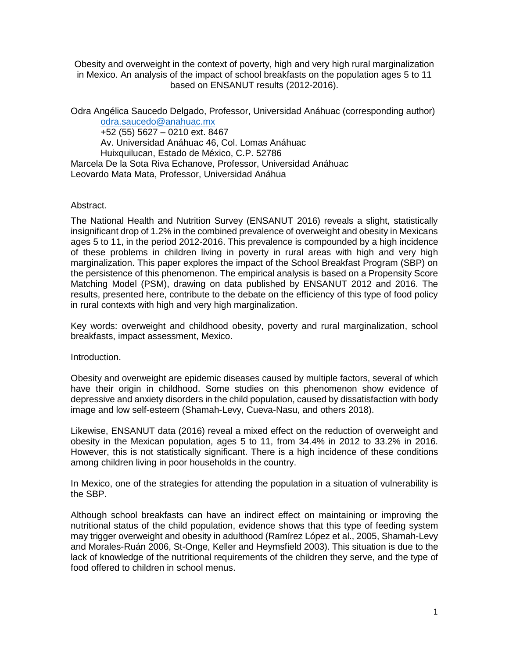Obesity and overweight in the context of poverty, high and very high rural marginalization in Mexico. An analysis of the impact of school breakfasts on the population ages 5 to 11 based on ENSANUT results (2012-2016).

Odra Angélica Saucedo Delgado, Professor, Universidad Anáhuac (corresponding author)

[odra.saucedo@anahuac.mx](mailto:John.doe@illinois.edu) +52 (55) 5627 – 0210 ext. 8467 Av. Universidad Anáhuac 46, Col. Lomas Anáhuac Huixquilucan, Estado de México, C.P. 52786 Marcela De la Sota Riva Echanove, Professor, Universidad Anáhuac Leovardo Mata Mata, Professor, Universidad Anáhua

Abstract.

The National Health and Nutrition Survey (ENSANUT 2016) reveals a slight, statistically insignificant drop of 1.2% in the combined prevalence of overweight and obesity in Mexicans ages 5 to 11, in the period 2012-2016. This prevalence is compounded by a high incidence of these problems in children living in poverty in rural areas with high and very high marginalization. This paper explores the impact of the School Breakfast Program (SBP) on the persistence of this phenomenon. The empirical analysis is based on a Propensity Score Matching Model (PSM), drawing on data published by ENSANUT 2012 and 2016. The results, presented here, contribute to the debate on the efficiency of this type of food policy in rural contexts with high and very high marginalization.

Key words: overweight and childhood obesity, poverty and rural marginalization, school breakfasts, impact assessment, Mexico.

Introduction.

Obesity and overweight are epidemic diseases caused by multiple factors, several of which have their origin in childhood. Some studies on this phenomenon show evidence of depressive and anxiety disorders in the child population, caused by dissatisfaction with body image and low self-esteem (Shamah-Levy, Cueva-Nasu, and others 2018).

Likewise, ENSANUT data (2016) reveal a mixed effect on the reduction of overweight and obesity in the Mexican population, ages 5 to 11, from 34.4% in 2012 to 33.2% in 2016. However, this is not statistically significant. There is a high incidence of these conditions among children living in poor households in the country.

In Mexico, one of the strategies for attending the population in a situation of vulnerability is the SBP.

Although school breakfasts can have an indirect effect on maintaining or improving the nutritional status of the child population, evidence shows that this type of feeding system may trigger overweight and obesity in adulthood (Ramírez López et al., 2005, Shamah-Levy and Morales-Ruán 2006, St-Onge, Keller and Heymsfield 2003). This situation is due to the lack of knowledge of the nutritional requirements of the children they serve, and the type of food offered to children in school menus.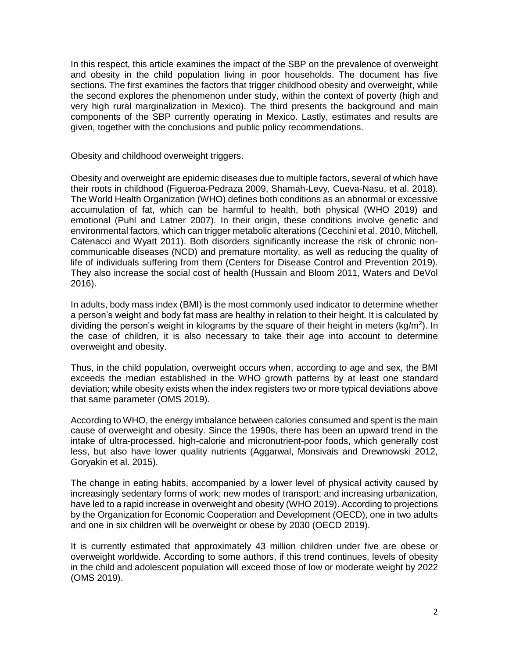In this respect, this article examines the impact of the SBP on the prevalence of overweight and obesity in the child population living in poor households. The document has five sections. The first examines the factors that trigger childhood obesity and overweight, while the second explores the phenomenon under study, within the context of poverty (high and very high rural marginalization in Mexico). The third presents the background and main components of the SBP currently operating in Mexico. Lastly, estimates and results are given, together with the conclusions and public policy recommendations.

Obesity and childhood overweight triggers.

Obesity and overweight are epidemic diseases due to multiple factors, several of which have their roots in childhood (Figueroa-Pedraza 2009, Shamah-Levy, Cueva-Nasu, et al. 2018). The World Health Organization (WHO) defines both conditions as an abnormal or excessive accumulation of fat, which can be harmful to health, both physical (WHO 2019) and emotional (Puhl and Latner 2007). In their origin, these conditions involve genetic and environmental factors, which can trigger metabolic alterations (Cecchini et al. 2010, Mitchell, Catenacci and Wyatt 2011). Both disorders significantly increase the risk of chronic noncommunicable diseases (NCD) and premature mortality, as well as reducing the quality of life of individuals suffering from them (Centers for Disease Control and Prevention 2019). They also increase the social cost of health (Hussain and Bloom 2011, Waters and DeVol 2016).

In adults, body mass index (BMI) is the most commonly used indicator to determine whether a person's weight and body fat mass are healthy in relation to their height. It is calculated by dividing the person's weight in kilograms by the square of their height in meters (kg/m<sup>2</sup>). In the case of children, it is also necessary to take their age into account to determine overweight and obesity.

Thus, in the child population, overweight occurs when, according to age and sex, the BMI exceeds the median established in the WHO growth patterns by at least one standard deviation; while obesity exists when the index registers two or more typical deviations above that same parameter (OMS 2019).

According to WHO, the energy imbalance between calories consumed and spent is the main cause of overweight and obesity. Since the 1990s, there has been an upward trend in the intake of ultra-processed, high-calorie and micronutrient-poor foods, which generally cost less, but also have lower quality nutrients (Aggarwal, Monsivais and Drewnowski 2012, Goryakin et al. 2015).

The change in eating habits, accompanied by a lower level of physical activity caused by increasingly sedentary forms of work; new modes of transport; and increasing urbanization, have led to a rapid increase in overweight and obesity (WHO 2019). According to projections by the Organization for Economic Cooperation and Development (OECD), one in two adults and one in six children will be overweight or obese by 2030 (OECD 2019).

It is currently estimated that approximately 43 million children under five are obese or overweight worldwide. According to some authors, if this trend continues, levels of obesity in the child and adolescent population will exceed those of low or moderate weight by 2022 (OMS 2019).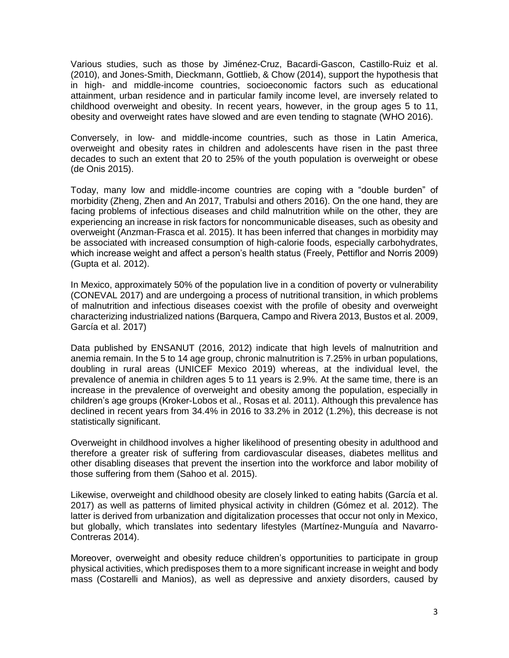Various studies, such as those by Jiménez-Cruz, Bacardi-Gascon, Castillo-Ruiz et al. (2010), and Jones-Smith, Dieckmann, Gottlieb, & Chow (2014), support the hypothesis that in high- and middle-income countries, socioeconomic factors such as educational attainment, urban residence and in particular family income level, are inversely related to childhood overweight and obesity. In recent years, however, in the group ages 5 to 11, obesity and overweight rates have slowed and are even tending to stagnate (WHO 2016).

Conversely, in low- and middle-income countries, such as those in Latin America, overweight and obesity rates in children and adolescents have risen in the past three decades to such an extent that 20 to 25% of the youth population is overweight or obese (de Onis 2015).

Today, many low and middle-income countries are coping with a "double burden" of morbidity (Zheng, Zhen and An 2017, Trabulsi and others 2016). On the one hand, they are facing problems of infectious diseases and child malnutrition while on the other, they are experiencing an increase in risk factors for noncommunicable diseases, such as obesity and overweight (Anzman-Frasca et al. 2015). It has been inferred that changes in morbidity may be associated with increased consumption of high-calorie foods, especially carbohydrates, which increase weight and affect a person's health status (Freely, Pettiflor and Norris 2009) (Gupta et al. 2012).

In Mexico, approximately 50% of the population live in a condition of poverty or vulnerability (CONEVAL 2017) and are undergoing a process of nutritional transition, in which problems of malnutrition and infectious diseases coexist with the profile of obesity and overweight characterizing industrialized nations (Barquera, Campo and Rivera 2013, Bustos et al. 2009, García et al. 2017)

Data published by ENSANUT (2016, 2012) indicate that high levels of malnutrition and anemia remain. In the 5 to 14 age group, chronic malnutrition is 7.25% in urban populations, doubling in rural areas (UNICEF Mexico 2019) whereas, at the individual level, the prevalence of anemia in children ages 5 to 11 years is 2.9%. At the same time, there is an increase in the prevalence of overweight and obesity among the population, especially in children's age groups (Kroker-Lobos et al., Rosas et al. 2011). Although this prevalence has declined in recent years from 34.4% in 2016 to 33.2% in 2012 (1.2%), this decrease is not statistically significant.

Overweight in childhood involves a higher likelihood of presenting obesity in adulthood and therefore a greater risk of suffering from cardiovascular diseases, diabetes mellitus and other disabling diseases that prevent the insertion into the workforce and labor mobility of those suffering from them (Sahoo et al. 2015).

Likewise, overweight and childhood obesity are closely linked to eating habits (García et al. 2017) as well as patterns of limited physical activity in children (Gómez et al. 2012). The latter is derived from urbanization and digitalization processes that occur not only in Mexico, but globally, which translates into sedentary lifestyles (Martínez-Munguía and Navarro-Contreras 2014).

Moreover, overweight and obesity reduce children's opportunities to participate in group physical activities, which predisposes them to a more significant increase in weight and body mass (Costarelli and Manios), as well as depressive and anxiety disorders, caused by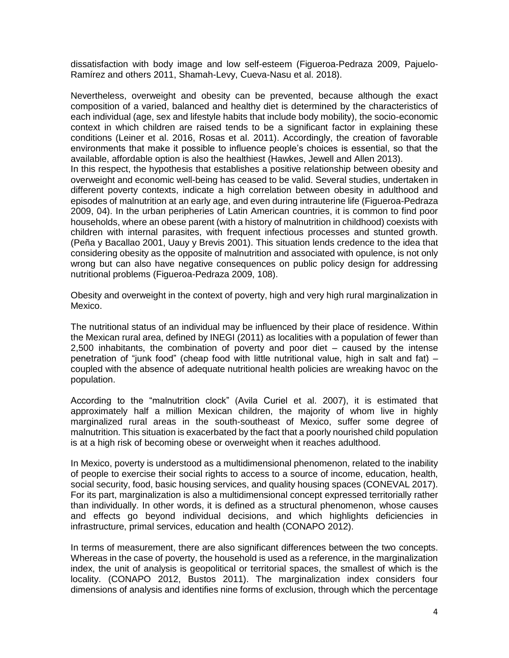dissatisfaction with body image and low self-esteem (Figueroa-Pedraza 2009, Pajuelo-Ramírez and others 2011, Shamah-Levy, Cueva-Nasu et al. 2018).

Nevertheless, overweight and obesity can be prevented, because although the exact composition of a varied, balanced and healthy diet is determined by the characteristics of each individual (age, sex and lifestyle habits that include body mobility), the socio-economic context in which children are raised tends to be a significant factor in explaining these conditions (Leiner et al. 2016, Rosas et al. 2011). Accordingly, the creation of favorable environments that make it possible to influence people's choices is essential, so that the available, affordable option is also the healthiest (Hawkes, Jewell and Allen 2013).

In this respect, the hypothesis that establishes a positive relationship between obesity and overweight and economic well-being has ceased to be valid. Several studies, undertaken in different poverty contexts, indicate a high correlation between obesity in adulthood and episodes of malnutrition at an early age, and even during intrauterine life (Figueroa-Pedraza 2009, 04). In the urban peripheries of Latin American countries, it is common to find poor households, where an obese parent (with a history of malnutrition in childhood) coexists with children with internal parasites, with frequent infectious processes and stunted growth. (Peña y Bacallao 2001, Uauy y Brevis 2001). This situation lends credence to the idea that considering obesity as the opposite of malnutrition and associated with opulence, is not only wrong but can also have negative consequences on public policy design for addressing nutritional problems (Figueroa-Pedraza 2009, 108).

Obesity and overweight in the context of poverty, high and very high rural marginalization in Mexico.

The nutritional status of an individual may be influenced by their place of residence. Within the Mexican rural area, defined by INEGI (2011) as localities with a population of fewer than 2,500 inhabitants, the combination of poverty and poor diet – caused by the intense penetration of "junk food" (cheap food with little nutritional value, high in salt and fat)  $$ coupled with the absence of adequate nutritional health policies are wreaking havoc on the population.

According to the "malnutrition clock" (Avila Curiel et al. 2007), it is estimated that approximately half a million Mexican children, the majority of whom live in highly marginalized rural areas in the south-southeast of Mexico, suffer some degree of malnutrition. This situation is exacerbated by the fact that a poorly nourished child population is at a high risk of becoming obese or overweight when it reaches adulthood.

In Mexico, poverty is understood as a multidimensional phenomenon, related to the inability of people to exercise their social rights to access to a source of income, education, health, social security, food, basic housing services, and quality housing spaces (CONEVAL 2017). For its part, marginalization is also a multidimensional concept expressed territorially rather than individually. In other words, it is defined as a structural phenomenon, whose causes and effects go beyond individual decisions, and which highlights deficiencies in infrastructure, primal services, education and health (CONAPO 2012).

In terms of measurement, there are also significant differences between the two concepts. Whereas in the case of poverty, the household is used as a reference, in the marginalization index, the unit of analysis is geopolitical or territorial spaces, the smallest of which is the locality. (CONAPO 2012, Bustos 2011). The marginalization index considers four dimensions of analysis and identifies nine forms of exclusion, through which the percentage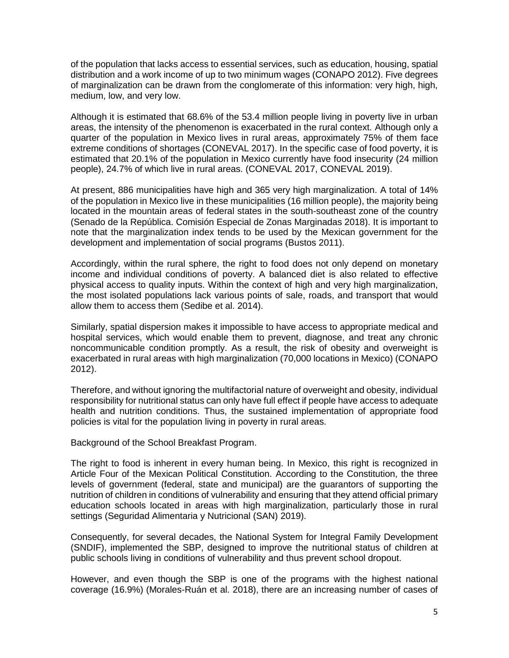of the population that lacks access to essential services, such as education, housing, spatial distribution and a work income of up to two minimum wages (CONAPO 2012). Five degrees of marginalization can be drawn from the conglomerate of this information: very high, high, medium, low, and very low.

Although it is estimated that 68.6% of the 53.4 million people living in poverty live in urban areas, the intensity of the phenomenon is exacerbated in the rural context. Although only a quarter of the population in Mexico lives in rural areas, approximately 75% of them face extreme conditions of shortages (CONEVAL 2017). In the specific case of food poverty, it is estimated that 20.1% of the population in Mexico currently have food insecurity (24 million people), 24.7% of which live in rural areas. (CONEVAL 2017, CONEVAL 2019).

At present, 886 municipalities have high and 365 very high marginalization. A total of 14% of the population in Mexico live in these municipalities (16 million people), the majority being located in the mountain areas of federal states in the south-southeast zone of the country (Senado de la República. Comisión Especial de Zonas Marginadas 2018). It is important to note that the marginalization index tends to be used by the Mexican government for the development and implementation of social programs (Bustos 2011).

Accordingly, within the rural sphere, the right to food does not only depend on monetary income and individual conditions of poverty. A balanced diet is also related to effective physical access to quality inputs. Within the context of high and very high marginalization, the most isolated populations lack various points of sale, roads, and transport that would allow them to access them (Sedibe et al. 2014).

Similarly, spatial dispersion makes it impossible to have access to appropriate medical and hospital services, which would enable them to prevent, diagnose, and treat any chronic noncommunicable condition promptly. As a result, the risk of obesity and overweight is exacerbated in rural areas with high marginalization (70,000 locations in Mexico) (CONAPO 2012).

Therefore, and without ignoring the multifactorial nature of overweight and obesity, individual responsibility for nutritional status can only have full effect if people have access to adequate health and nutrition conditions. Thus, the sustained implementation of appropriate food policies is vital for the population living in poverty in rural areas.

Background of the School Breakfast Program.

The right to food is inherent in every human being. In Mexico, this right is recognized in Article Four of the Mexican Political Constitution. According to the Constitution, the three levels of government (federal, state and municipal) are the guarantors of supporting the nutrition of children in conditions of vulnerability and ensuring that they attend official primary education schools located in areas with high marginalization, particularly those in rural settings (Seguridad Alimentaria y Nutricional (SAN) 2019).

Consequently, for several decades, the National System for Integral Family Development (SNDIF), implemented the SBP, designed to improve the nutritional status of children at public schools living in conditions of vulnerability and thus prevent school dropout.

However, and even though the SBP is one of the programs with the highest national coverage (16.9%) (Morales-Ruán et al. 2018), there are an increasing number of cases of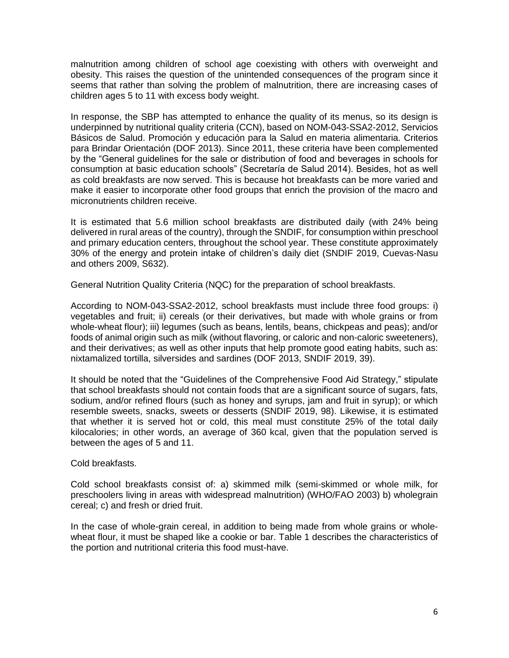malnutrition among children of school age coexisting with others with overweight and obesity. This raises the question of the unintended consequences of the program since it seems that rather than solving the problem of malnutrition, there are increasing cases of children ages 5 to 11 with excess body weight.

In response, the SBP has attempted to enhance the quality of its menus, so its design is underpinned by nutritional quality criteria (CCN), based on NOM-043-SSA2-2012, Servicios Básicos de Salud. Promoción y educación para la Salud en materia alimentaria. Criterios para Brindar Orientación (DOF 2013). Since 2011, these criteria have been complemented by the "General guidelines for the sale or distribution of food and beverages in schools for consumption at basic education schools" (Secretaría de Salud 2014). Besides, hot as well as cold breakfasts are now served. This is because hot breakfasts can be more varied and make it easier to incorporate other food groups that enrich the provision of the macro and micronutrients children receive.

It is estimated that 5.6 million school breakfasts are distributed daily (with 24% being delivered in rural areas of the country), through the SNDIF, for consumption within preschool and primary education centers, throughout the school year. These constitute approximately 30% of the energy and protein intake of children's daily diet (SNDIF 2019, Cuevas-Nasu and others 2009, S632).

General Nutrition Quality Criteria (NQC) for the preparation of school breakfasts.

According to NOM-043-SSA2-2012, school breakfasts must include three food groups: i) vegetables and fruit; ii) cereals (or their derivatives, but made with whole grains or from whole-wheat flour); iii) legumes (such as beans, lentils, beans, chickpeas and peas); and/or foods of animal origin such as milk (without flavoring, or caloric and non-caloric sweeteners), and their derivatives; as well as other inputs that help promote good eating habits, such as: nixtamalized tortilla, silversides and sardines (DOF 2013, SNDIF 2019, 39).

It should be noted that the "Guidelines of the Comprehensive Food Aid Strategy," stipulate that school breakfasts should not contain foods that are a significant source of sugars, fats, sodium, and/or refined flours (such as honey and syrups, jam and fruit in syrup); or which resemble sweets, snacks, sweets or desserts (SNDIF 2019, 98). Likewise, it is estimated that whether it is served hot or cold, this meal must constitute 25% of the total daily kilocalories; in other words, an average of 360 kcal, given that the population served is between the ages of 5 and 11.

## Cold breakfasts.

Cold school breakfasts consist of: a) skimmed milk (semi-skimmed or whole milk, for preschoolers living in areas with widespread malnutrition) (WHO/FAO 2003) b) wholegrain cereal; c) and fresh or dried fruit.

In the case of whole-grain cereal, in addition to being made from whole grains or wholewheat flour, it must be shaped like a cookie or bar. Table 1 describes the characteristics of the portion and nutritional criteria this food must-have.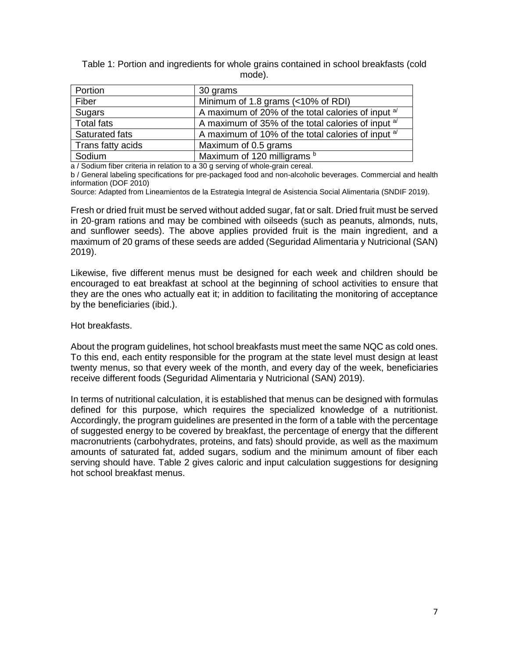Table 1: Portion and ingredients for whole grains contained in school breakfasts (cold mode).

| Portion           | 30 grams                                                      |
|-------------------|---------------------------------------------------------------|
| Fiber             | Minimum of 1.8 grams (<10% of RDI)                            |
| Sugars            | A maximum of 20% of the total calories of input <sup>a/</sup> |
| <b>Total fats</b> | A maximum of 35% of the total calories of input <sup>a/</sup> |
| Saturated fats    | A maximum of 10% of the total calories of input $a^{1/2}$     |
| Trans fatty acids | Maximum of 0.5 grams                                          |
| Sodium            | Maximum of 120 milligrams b                                   |

a / Sodium fiber criteria in relation to a 30 g serving of whole-grain cereal.

b / General labeling specifications for pre-packaged food and non-alcoholic beverages. Commercial and health information (DOF 2010)

Source: Adapted from Lineamientos de la Estrategia Integral de Asistencia Social Alimentaria (SNDIF 2019).

Fresh or dried fruit must be served without added sugar, fat or salt. Dried fruit must be served in 20-gram rations and may be combined with oilseeds (such as peanuts, almonds, nuts, and sunflower seeds). The above applies provided fruit is the main ingredient, and a maximum of 20 grams of these seeds are added (Seguridad Alimentaria y Nutricional (SAN) 2019).

Likewise, five different menus must be designed for each week and children should be encouraged to eat breakfast at school at the beginning of school activities to ensure that they are the ones who actually eat it; in addition to facilitating the monitoring of acceptance by the beneficiaries (ibid.).

Hot breakfasts.

About the program guidelines, hot school breakfasts must meet the same NQC as cold ones. To this end, each entity responsible for the program at the state level must design at least twenty menus, so that every week of the month, and every day of the week, beneficiaries receive different foods (Seguridad Alimentaria y Nutricional (SAN) 2019).

In terms of nutritional calculation, it is established that menus can be designed with formulas defined for this purpose, which requires the specialized knowledge of a nutritionist. Accordingly, the program guidelines are presented in the form of a table with the percentage of suggested energy to be covered by breakfast, the percentage of energy that the different macronutrients (carbohydrates, proteins, and fats) should provide, as well as the maximum amounts of saturated fat, added sugars, sodium and the minimum amount of fiber each serving should have. Table 2 gives caloric and input calculation suggestions for designing hot school breakfast menus.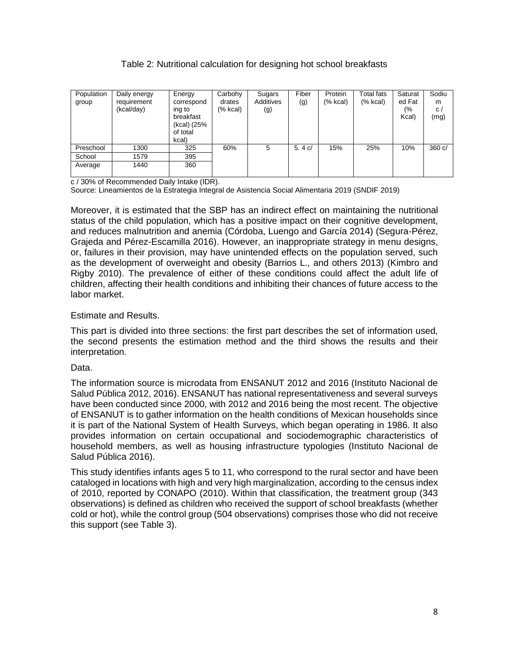| Population<br>group | Daily energy<br>requirement<br>(kcal/day) | Energy<br>correspond<br>ing to<br>breakfast<br>(kcal) (25%<br>of total<br>kcal) | Carbohy<br>drates<br>(% kcal) | Sugars<br>Additives<br>(g) | Fiber<br>(g) | Protein<br>(% kcal) | Total fats<br>$(% \mathcal{L}_{0})$ (% kcal) | Saturat<br>ed Fat<br>(%<br>Kcal) | Sodiu<br>m<br>C/<br>(mg) |
|---------------------|-------------------------------------------|---------------------------------------------------------------------------------|-------------------------------|----------------------------|--------------|---------------------|----------------------------------------------|----------------------------------|--------------------------|
| Preschool           | 1300                                      | 325                                                                             | 60%                           | 5                          | 5.4 $c/$     | 15%                 | 25%                                          | 10%                              | 360 c/                   |
| School              | 1579                                      | 395                                                                             |                               |                            |              |                     |                                              |                                  |                          |
| Average             | 1440                                      | 360                                                                             |                               |                            |              |                     |                                              |                                  |                          |

# Table 2: Nutritional calculation for designing hot school breakfasts

c / 30% of Recommended Daily Intake (IDR).

Source: Lineamientos de la Estrategia Integral de Asistencia Social Alimentaria 2019 (SNDIF 2019)

Moreover, it is estimated that the SBP has an indirect effect on maintaining the nutritional status of the child population, which has a positive impact on their cognitive development, and reduces malnutrition and anemia (Córdoba, Luengo and García 2014) (Segura-Pérez, Grajeda and Pérez-Escamilla 2016). However, an inappropriate strategy in menu designs, or, failures in their provision, may have unintended effects on the population served, such as the development of overweight and obesity (Barrios L., and others 2013) (Kimbro and Rigby 2010). The prevalence of either of these conditions could affect the adult life of children, affecting their health conditions and inhibiting their chances of future access to the labor market.

## Estimate and Results.

This part is divided into three sections: the first part describes the set of information used, the second presents the estimation method and the third shows the results and their interpretation.

## Data.

The information source is microdata from ENSANUT 2012 and 2016 (Instituto Nacional de Salud Pública 2012, 2016). ENSANUT has national representativeness and several surveys have been conducted since 2000, with 2012 and 2016 being the most recent. The objective of ENSANUT is to gather information on the health conditions of Mexican households since it is part of the National System of Health Surveys, which began operating in 1986. It also provides information on certain occupational and sociodemographic characteristics of household members, as well as housing infrastructure typologies (Instituto Nacional de Salud Pública 2016).

This study identifies infants ages 5 to 11, who correspond to the rural sector and have been cataloged in locations with high and very high marginalization, according to the census index of 2010, reported by CONAPO (2010). Within that classification, the treatment group (343 observations) is defined as children who received the support of school breakfasts (whether cold or hot), while the control group (504 observations) comprises those who did not receive this support (see Table 3).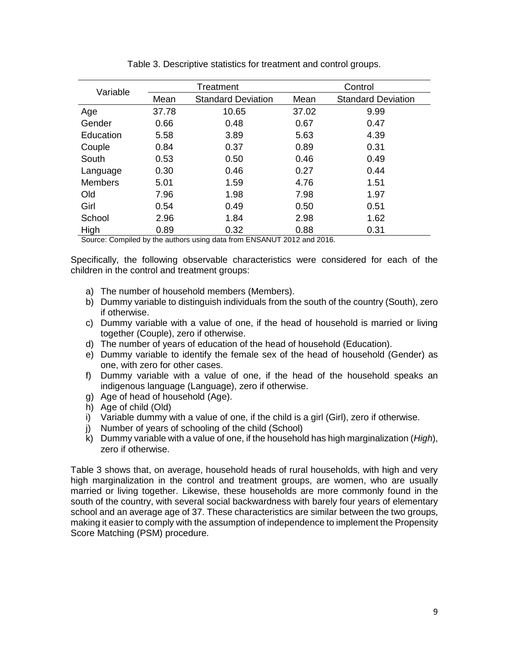| Variable       |       | Treatment                 | Control |                           |  |  |
|----------------|-------|---------------------------|---------|---------------------------|--|--|
|                | Mean  | <b>Standard Deviation</b> |         | <b>Standard Deviation</b> |  |  |
| Age            | 37.78 | 10.65                     | 37.02   | 9.99                      |  |  |
| Gender         | 0.66  | 0.48                      | 0.67    | 0.47                      |  |  |
| Education      | 5.58  | 3.89                      | 5.63    | 4.39                      |  |  |
| Couple         | 0.84  | 0.37                      | 0.89    | 0.31                      |  |  |
| South          | 0.53  | 0.50                      | 0.46    | 0.49                      |  |  |
| Language       | 0.30  | 0.46                      | 0.27    | 0.44                      |  |  |
| <b>Members</b> | 5.01  | 1.59                      | 4.76    | 1.51                      |  |  |
| Old            | 7.96  | 1.98                      | 7.98    | 1.97                      |  |  |
| Girl           | 0.54  | 0.49                      | 0.50    | 0.51                      |  |  |
| School         | 2.96  | 1.84                      | 2.98    | 1.62                      |  |  |
| High           | 0.89  | 0.32                      | 0.88    | 0.31                      |  |  |

Table 3. Descriptive statistics for treatment and control groups.

Source: Compiled by the authors using data from ENSANUT 2012 and 2016.

Specifically, the following observable characteristics were considered for each of the children in the control and treatment groups:

- a) The number of household members (Members).
- b) Dummy variable to distinguish individuals from the south of the country (South), zero if otherwise.
- c) Dummy variable with a value of one, if the head of household is married or living together (Couple), zero if otherwise.
- d) The number of years of education of the head of household (Education).
- e) Dummy variable to identify the female sex of the head of household (Gender) as one, with zero for other cases.
- f) Dummy variable with a value of one, if the head of the household speaks an indigenous language (Language), zero if otherwise.
- g) Age of head of household (Age).
- h) Age of child (Old)
- i) Variable dummy with a value of one, if the child is a girl (Girl), zero if otherwise.
- j) Number of years of schooling of the child (School)
- k) Dummy variable with a value of one, if the household has high marginalization (*High*), zero if otherwise.

Table 3 shows that, on average, household heads of rural households, with high and very high marginalization in the control and treatment groups, are women, who are usually married or living together. Likewise, these households are more commonly found in the south of the country, with several social backwardness with barely four years of elementary school and an average age of 37. These characteristics are similar between the two groups, making it easier to comply with the assumption of independence to implement the Propensity Score Matching (PSM) procedure.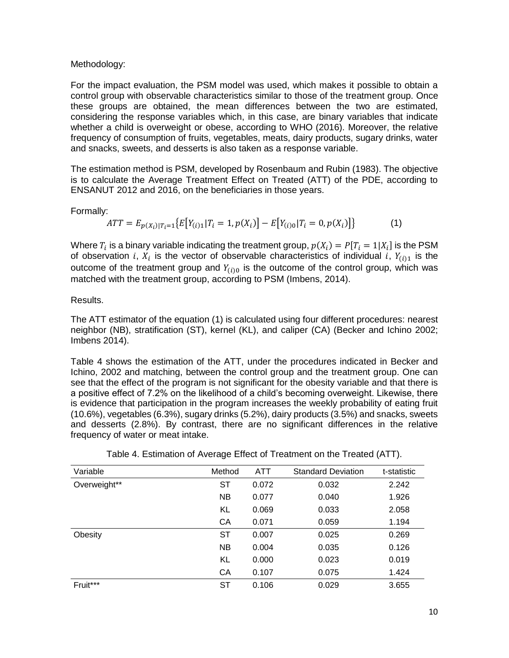## Methodology:

For the impact evaluation, the PSM model was used, which makes it possible to obtain a control group with observable characteristics similar to those of the treatment group. Once these groups are obtained, the mean differences between the two are estimated, considering the response variables which, in this case, are binary variables that indicate whether a child is overweight or obese, according to WHO (2016). Moreover, the relative frequency of consumption of fruits, vegetables, meats, dairy products, sugary drinks, water and snacks, sweets, and desserts is also taken as a response variable.

The estimation method is PSM, developed by Rosenbaum and Rubin (1983). The objective is to calculate the Average Treatment Effect on Treated (ATT) of the PDE, according to ENSANUT 2012 and 2016, on the beneficiaries in those years.

Formally:

$$
ATT = E_{p(X_i)|T_i=1} \{ E[Y_{(i)1}|T_i=1, p(X_i)] - E[Y_{(i)0}|T_i=0, p(X_i)] \}
$$
(1)

Where  $T_i$  is a binary variable indicating the treatment group,  $p(X_i) = P[T_i = 1 | X_i]$  is the PSM of observation i,  $X_i$  is the vector of observable characteristics of individual i,  $Y_{(i)1}$  is the outcome of the treatment group and  $Y_{(i)0}$  is the outcome of the control group, which was matched with the treatment group, according to PSM (Imbens, 2014).

#### Results.

The ATT estimator of the equation (1) is calculated using four different procedures: nearest neighbor (NB), stratification (ST), kernel (KL), and caliper (CA) (Becker and Ichino 2002; Imbens 2014).

Table 4 shows the estimation of the ATT, under the procedures indicated in Becker and Ichino, 2002 and matching, between the control group and the treatment group. One can see that the effect of the program is not significant for the obesity variable and that there is a positive effect of 7.2% on the likelihood of a child's becoming overweight. Likewise, there is evidence that participation in the program increases the weekly probability of eating fruit (10.6%), vegetables (6.3%), sugary drinks (5.2%), dairy products (3.5%) and snacks, sweets and desserts (2.8%). By contrast, there are no significant differences in the relative frequency of water or meat intake.

| Variable     | Method    | <b>ATT</b> | <b>Standard Deviation</b> | t-statistic |
|--------------|-----------|------------|---------------------------|-------------|
| Overweight** | ST        | 0.072      | 0.032                     | 2.242       |
|              | <b>NB</b> | 0.077      | 0.040                     | 1.926       |
|              | KL        | 0.069      | 0.033                     | 2.058       |
|              | CA        | 0.071      | 0.059                     | 1.194       |
| Obesity      | ST        | 0.007      | 0.025                     | 0.269       |
|              | <b>NB</b> | 0.004      | 0.035                     | 0.126       |
|              | KL        | 0.000      | 0.023                     | 0.019       |
|              | CA        | 0.107      | 0.075                     | 1.424       |
| Fruit***     | SТ        | 0.106      | 0.029                     | 3.655       |

| Table 4. Estimation of Average Effect of Treatment on the Treated (ATT). |  |
|--------------------------------------------------------------------------|--|
|                                                                          |  |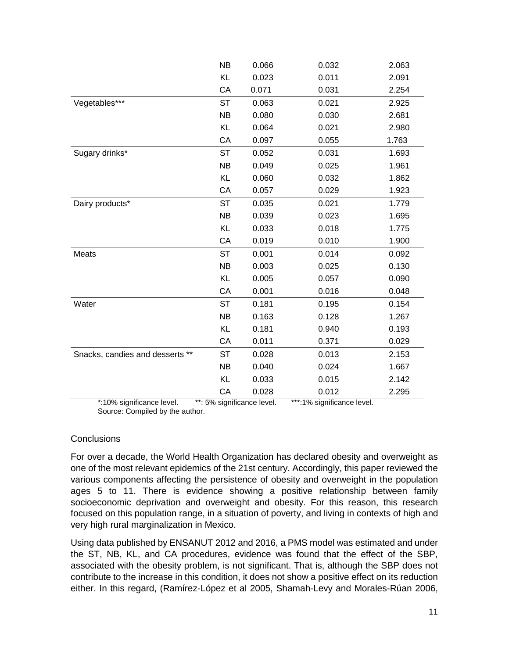|                                 | <b>NB</b> | 0.066 | 0.032 | 2.063 |
|---------------------------------|-----------|-------|-------|-------|
|                                 | KL        | 0.023 | 0.011 | 2.091 |
|                                 | CA        | 0.071 | 0.031 | 2.254 |
| Vegetables***                   | <b>ST</b> | 0.063 | 0.021 | 2.925 |
|                                 | <b>NB</b> | 0.080 | 0.030 | 2.681 |
|                                 | KL        | 0.064 | 0.021 | 2.980 |
|                                 | CA        | 0.097 | 0.055 | 1.763 |
| Sugary drinks*                  | <b>ST</b> | 0.052 | 0.031 | 1.693 |
|                                 | <b>NB</b> | 0.049 | 0.025 | 1.961 |
|                                 | KL        | 0.060 | 0.032 | 1.862 |
|                                 | CA        | 0.057 | 0.029 | 1.923 |
| Dairy products*                 | <b>ST</b> | 0.035 | 0.021 | 1.779 |
|                                 | <b>NB</b> | 0.039 | 0.023 | 1.695 |
|                                 | KL        | 0.033 | 0.018 | 1.775 |
|                                 | CA        | 0.019 | 0.010 | 1.900 |
| Meats                           | <b>ST</b> | 0.001 | 0.014 | 0.092 |
|                                 | <b>NB</b> | 0.003 | 0.025 | 0.130 |
|                                 | KL        | 0.005 | 0.057 | 0.090 |
|                                 | CA        | 0.001 | 0.016 | 0.048 |
| Water                           | <b>ST</b> | 0.181 | 0.195 | 0.154 |
|                                 | <b>NB</b> | 0.163 | 0.128 | 1.267 |
|                                 | KL        | 0.181 | 0.940 | 0.193 |
|                                 | CA        | 0.011 | 0.371 | 0.029 |
| Snacks, candies and desserts ** | <b>ST</b> | 0.028 | 0.013 | 2.153 |
|                                 | <b>NB</b> | 0.040 | 0.024 | 1.667 |
|                                 | KL        | 0.033 | 0.015 | 2.142 |
|                                 | CA        | 0.028 | 0.012 | 2.295 |

 \*:10% significance level. \*\*: 5% significance level. \*\*\*:1% significance level. Source: Compiled by the author.

## **Conclusions**

For over a decade, the World Health Organization has declared obesity and overweight as one of the most relevant epidemics of the 21st century. Accordingly, this paper reviewed the various components affecting the persistence of obesity and overweight in the population ages 5 to 11. There is evidence showing a positive relationship between family socioeconomic deprivation and overweight and obesity. For this reason, this research focused on this population range, in a situation of poverty, and living in contexts of high and very high rural marginalization in Mexico.

Using data published by ENSANUT 2012 and 2016, a PMS model was estimated and under the ST, NB, KL, and CA procedures, evidence was found that the effect of the SBP, associated with the obesity problem, is not significant. That is, although the SBP does not contribute to the increase in this condition, it does not show a positive effect on its reduction either. In this regard, (Ramírez-López et al 2005, Shamah-Levy and Morales-Rúan 2006,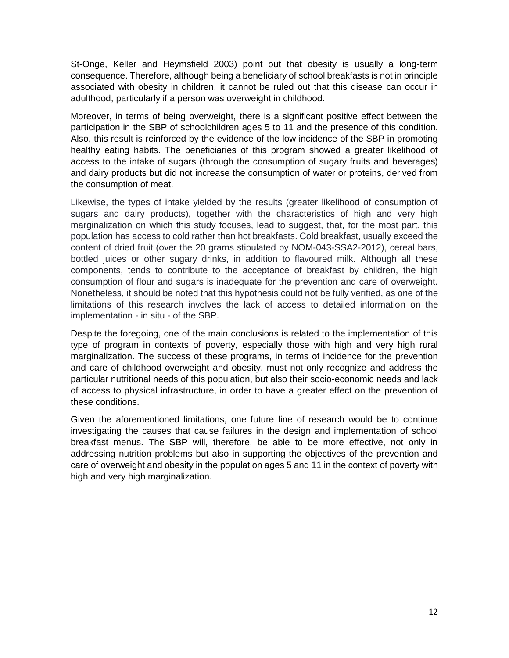St-Onge, Keller and Heymsfield 2003) point out that obesity is usually a long-term consequence. Therefore, although being a beneficiary of school breakfasts is not in principle associated with obesity in children, it cannot be ruled out that this disease can occur in adulthood, particularly if a person was overweight in childhood.

Moreover, in terms of being overweight, there is a significant positive effect between the participation in the SBP of schoolchildren ages 5 to 11 and the presence of this condition. Also, this result is reinforced by the evidence of the low incidence of the SBP in promoting healthy eating habits. The beneficiaries of this program showed a greater likelihood of access to the intake of sugars (through the consumption of sugary fruits and beverages) and dairy products but did not increase the consumption of water or proteins, derived from the consumption of meat.

Likewise, the types of intake yielded by the results (greater likelihood of consumption of sugars and dairy products), together with the characteristics of high and very high marginalization on which this study focuses, lead to suggest, that, for the most part, this population has access to cold rather than hot breakfasts. Cold breakfast, usually exceed the content of dried fruit (over the 20 grams stipulated by NOM-043-SSA2-2012), cereal bars, bottled juices or other sugary drinks, in addition to flavoured milk. Although all these components, tends to contribute to the acceptance of breakfast by children, the high consumption of flour and sugars is inadequate for the prevention and care of overweight. Nonetheless, it should be noted that this hypothesis could not be fully verified, as one of the limitations of this research involves the lack of access to detailed information on the implementation - in situ - of the SBP.

Despite the foregoing, one of the main conclusions is related to the implementation of this type of program in contexts of poverty, especially those with high and very high rural marginalization. The success of these programs, in terms of incidence for the prevention and care of childhood overweight and obesity, must not only recognize and address the particular nutritional needs of this population, but also their socio-economic needs and lack of access to physical infrastructure, in order to have a greater effect on the prevention of these conditions.

Given the aforementioned limitations, one future line of research would be to continue investigating the causes that cause failures in the design and implementation of school breakfast menus. The SBP will, therefore, be able to be more effective, not only in addressing nutrition problems but also in supporting the objectives of the prevention and care of overweight and obesity in the population ages 5 and 11 in the context of poverty with high and very high marginalization.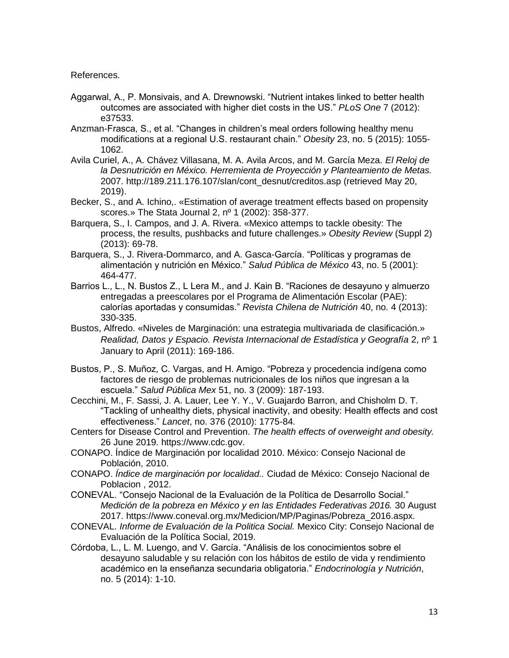References.

- Aggarwal, A., P. Monsivais, and A. Drewnowski. "Nutrient intakes linked to better health outcomes are associated with higher diet costs in the US." *PLoS One* 7 (2012): e37533.
- Anzman-Frasca, S., et al. "Changes in children's meal orders following healthy menu modifications at a regional U.S. restaurant chain." *Obesity* 23, no. 5 (2015): 1055- 1062.
- Avila Curiel, A., A. Chávez Villasana, M. A. Avila Arcos, and M. García Meza. *El Reloj de la Desnutrición en México. Herremienta de Proyección y Planteamiento de Metas.* 2007. http://189.211.176.107/slan/cont\_desnut/creditos.asp (retrieved May 20, 2019).
- Becker, S., and A. Ichino,. «Estimation of average treatment effects based on propensity scores.» The Stata Journal 2, nº 1 (2002): 358-377.
- Barquera, S., I. Campos, and J. A. Rivera. «Mexico attemps to tackle obesity: The process, the results, pushbacks and future challenges.» *Obesity Review* (Suppl 2) (2013): 69-78.
- Barquera, S., J. Rivera-Dommarco, and A. Gasca-García. "Políticas y programas de alimentación y nutrición en México." *Salud Pública de México* 43, no. 5 (2001): 464-477.
- Barrios L., L., N. Bustos Z., L Lera M., and J. Kain B. "Raciones de desayuno y almuerzo entregadas a preescolares por el Programa de Alimentación Escolar (PAE): calorías aportadas y consumidas." *Revista Chilena de Nutrición* 40, no. 4 (2013): 330-335.
- Bustos, Alfredo. «Niveles de Marginación: una estrategia multivariada de clasificación.» *Realidad, Datos y Espacio. Revista Internacional de Estadística y Geografía* 2, nº 1 January to April (2011): 169-186.
- Bustos, P., S. Muñoz, C. Vargas, and H. Amigo. "Pobreza y procedencia indígena como factores de riesgo de problemas nutricionales de los niños que ingresan a la escuela." *Salud Pública Mex* 51, no. 3 (2009): 187-193.
- Cecchini, M., F. Sassi, J. A. Lauer, Lee Y. Y., V. Guajardo Barron, and Chisholm D. T. "Tackling of unhealthy diets, physical inactivity, and obesity: Health effects and cost effectiveness." *Lancet*, no. 376 (2010): 1775-84.
- Centers for Disease Control and Prevention. *The health effects of overweight and obesity.* 26 June 2019. https://www.cdc.gov.
- CONAPO. Índice de Marginación por localidad 2010. México: Consejo Nacional de Población, 2010.
- CONAPO. *Índice de marginación por localidad..* Ciudad de México: Consejo Nacional de Poblacion , 2012.
- CONEVAL. "Consejo Nacional de la Evaluación de la Política de Desarrollo Social." *Medición de la pobreza en México y en las Entidades Federativas 2016.* 30 August 2017. https://www.coneval.org.mx/Medicion/MP/Paginas/Pobreza\_2016.aspx.
- CONEVAL. *Informe de Evaluación de la Politica Social.* Mexico City: Consejo Nacional de Evaluación de la Política Social, 2019.
- Córdoba, L., L. M. Luengo, and V. García. "Análisis de los conocimientos sobre el desayuno saludable y su relación con los hábitos de estilo de vida y rendimiento académico en la enseñanza secundaria obligatoria." *Endocrinología y Nutrición*, no. 5 (2014): 1-10.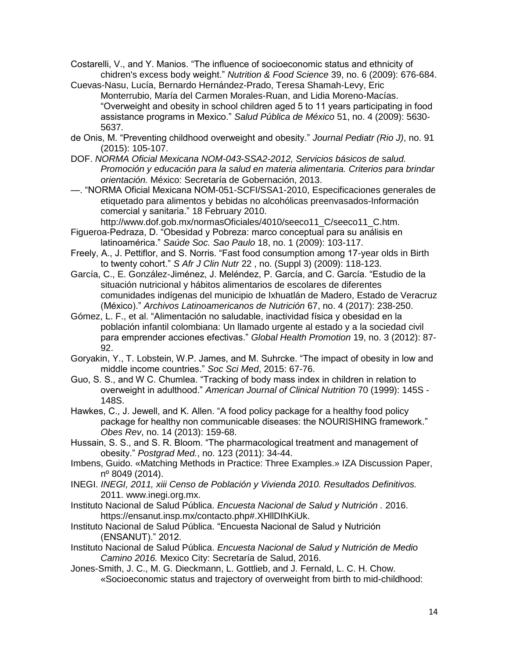Costarelli, V., and Y. Manios. "The influence of socioeconomic status and ethnicity of chidren's excess body weight." *Nutrition & Food Science* 39, no. 6 (2009): 676-684.

- Cuevas-Nasu, Lucía, Bernardo Hernández-Prado, Teresa Shamah-Levy, Eric Monterrubio, María del Carmen Morales-Ruan, and Lidia Moreno-Macías. "Overweight and obesity in school children aged 5 to 11 years participating in food assistance programs in Mexico." *Salud Pública de México* 51, no. 4 (2009): 5630- 5637.
- de Onis, M. "Preventing childhood overweight and obesity." *Journal Pediatr (Rio J)*, no. 91 (2015): 105-107.
- DOF. *NORMA Oficial Mexicana NOM-043-SSA2-2012, Servicios básicos de salud. Promoción y educación para la salud en materia alimentaria. Criterios para brindar orientación.* México: Secretaría de Gobernación, 2013.
- —. "NORMA Oficial Mexicana NOM-051-SCFI/SSA1-2010, Especificaciones generales de etiquetado para alimentos y bebidas no alcohólicas preenvasados-Información comercial y sanitaria." 18 February 2010.

http://www.dof.gob.mx/normasOficiales/4010/seeco11\_C/seeco11\_C.htm.

- Figueroa-Pedraza, D. "Obesidad y Pobreza: marco conceptual para su análisis en latinoamérica." *Saúde Soc. Sao Paulo* 18, no. 1 (2009): 103-117.
- Freely, A., J. Pettiflor, and S. Norris. "Fast food consumption among 17-year olds in Birth to twenty cohort." *S Afr J Clin Nutr* 22 , no. (Suppl 3) (2009): 118-123.
- García, C., E. González-Jiménez, J. Meléndez, P. García, and C. García. "Estudio de la situación nutricional y hábitos alimentarios de escolares de diferentes comunidades indígenas del municipio de Ixhuatlán de Madero, Estado de Veracruz (México)." *Archivos Latinoamericanos de Nutrición* 67, no. 4 (2017): 238-250.
- Gómez, L. F., et al. "Alimentación no saludable, inactividad física y obesidad en la población infantil colombiana: Un llamado urgente al estado y a la sociedad civil para emprender acciones efectivas." *Global Health Promotion* 19, no. 3 (2012): 87- 92.
- Goryakin, Y., T. Lobstein, W.P. James, and M. Suhrcke. "The impact of obesity in low and middle income countries." *Soc Sci Med*, 2015: 67-76.
- Guo, S. S., and W C. Chumlea. "Tracking of body mass index in children in relation to overweight in adulthood." *American Journal of Clinical Nutrition* 70 (1999): 145S - 148S.
- Hawkes, C., J. Jewell, and K. Allen. "A food policy package for a healthy food policy package for healthy non communicable diseases: the NOURISHING framework." *Obes Rev*, no. 14 (2013): 159-68.
- Hussain, S. S., and S. R. Bloom. "The pharmacological treatment and management of obesity." *Postgrad Med.*, no. 123 (2011): 34-44.
- Imbens, Guido. «Matching Methods in Practice: Three Examples.» IZA Discussion Paper, nº 8049 (2014).
- INEGI. *INEGI, 2011, xiii Censo de Población y Vivienda 2010. Resultados Definitivos.* 2011. www.inegi.org.mx.
- Instituto Nacional de Salud Pública. *Encuesta Nacional de Salud y Nutrición .* 2016. https://ensanut.insp.mx/contacto.php#.XHllDIhKiUk.
- Instituto Nacional de Salud Pública. "Encuesta Nacional de Salud y Nutrición (ENSANUT)." 2012.
- Instituto Nacional de Salud Pública. *Encuesta Nacional de Salud y Nutrición de Medio Camino 2016.* Mexico City: Secretaría de Salud, 2016.
- Jones-Smith, J. C., M. G. Dieckmann, L. Gottlieb, and J. Fernald, L. C. H. Chow. «Socioeconomic status and trajectory of overweight from birth to mid-childhood: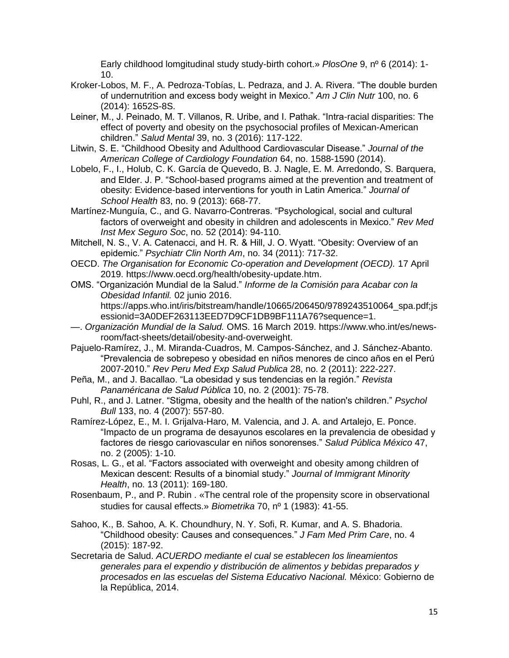Early childhood lomgitudinal study study-birth cohort.» *PlosOne* 9, nº 6 (2014): 1- 10.

- Kroker-Lobos, M. F., A. Pedroza-Tobías, L. Pedraza, and J. A. Rivera. "The double burden of undernutrition and excess body weight in Mexico." *Am J Clin Nutr* 100, no. 6 (2014): 1652S-8S.
- Leiner, M., J. Peinado, M. T. Villanos, R. Uribe, and I. Pathak. "Intra-racial disparities: The effect of poverty and obesity on the psychosocial profiles of Mexican-American children." *Salud Mental* 39, no. 3 (2016): 117-122.
- Litwin, S. E. "Childhood Obesity and Adulthood Cardiovascular Disease." *Journal of the American College of Cardiology Foundation* 64, no. 1588-1590 (2014).
- Lobelo, F., I., Holub, C. K. García de Quevedo, B. J. Nagle, E. M. Arredondo, S. Barquera, and Elder. J. P. "School-based programs aimed at the prevention and treatment of obesity: Evidence-based interventions for youth in Latin America." *Journal of School Health* 83, no. 9 (2013): 668-77.
- Martínez-Munguía, C., and G. Navarro-Contreras. "Psychological, social and cultural factors of overweight and obesity in children and adolescents in Mexico." *Rev Med Inst Mex Seguro Soc*, no. 52 (2014): 94-110.
- Mitchell, N. S., V. A. Catenacci, and H. R. & Hill, J. O. Wyatt. "Obesity: Overview of an epidemic." *Psychiatr Clin North Am*, no. 34 (2011): 717-32.
- OECD. *The Organisation for Economic Co-operation and Development (OECD).* 17 April 2019. https://www.oecd.org/health/obesity-update.htm.
- OMS. "Organización Mundial de la Salud." *Informe de la Comisión para Acabar con la Obesidad Infantil.* 02 junio 2016. https://apps.who.int/iris/bitstream/handle/10665/206450/9789243510064\_spa.pdf;js essionid=3A0DEF263113EED7D9CF1DB9BF111A76?sequence=1.
- —. *Organización Mundial de la Salud.* OMS. 16 March 2019. https://www.who.int/es/newsroom/fact-sheets/detail/obesity-and-overweight.
- Pajuelo-Ramírez, J., M. Miranda-Cuadros, M. Campos-Sánchez, and J. Sánchez-Abanto. "Prevalencia de sobrepeso y obesidad en niños menores de cinco años en el Perú 2007-2010." *Rev Peru Med Exp Salud Publica* 28, no. 2 (2011): 222-227.
- Peña, M., and J. Bacallao. "La obesidad y sus tendencias en la región." *Revista Panaméricana de Salud Pública* 10, no. 2 (2001): 75-78.
- Puhl, R., and J. Latner. "Stigma, obesity and the health of the nation's children." *Psychol Bull* 133, no. 4 (2007): 557-80.
- Ramírez-López, E., M. I. Grijalva-Haro, M. Valencia, and J. A. and Artalejo, E. Ponce. "Impacto de un programa de desayunos escolares en la prevalencia de obesidad y factores de riesgo cariovascular en niños sonorenses." *Salud Pública México* 47, no. 2 (2005): 1-10.
- Rosas, L. G., et al. "Factors associated with overweight and obesity among children of Mexican descent: Results of a binomial study." *Journal of Immigrant Minority Health*, no. 13 (2011): 169-180.
- Rosenbaum, P., and P. Rubin . «The central role of the propensity score in observational studies for causal effects.» *Biometrika* 70, nº 1 (1983): 41-55.
- Sahoo, K., B. Sahoo, A. K. Choundhury, N. Y. Sofi, R. Kumar, and A. S. Bhadoria. "Childhood obesity: Causes and consequences." *J Fam Med Prim Care*, no. 4 (2015): 187-92.
- Secretaria de Salud. *ACUERDO mediante el cual se establecen los lineamientos generales para el expendio y distribución de alimentos y bebidas preparados y procesados en las escuelas del Sistema Educativo Nacional.* México: Gobierno de la República, 2014.